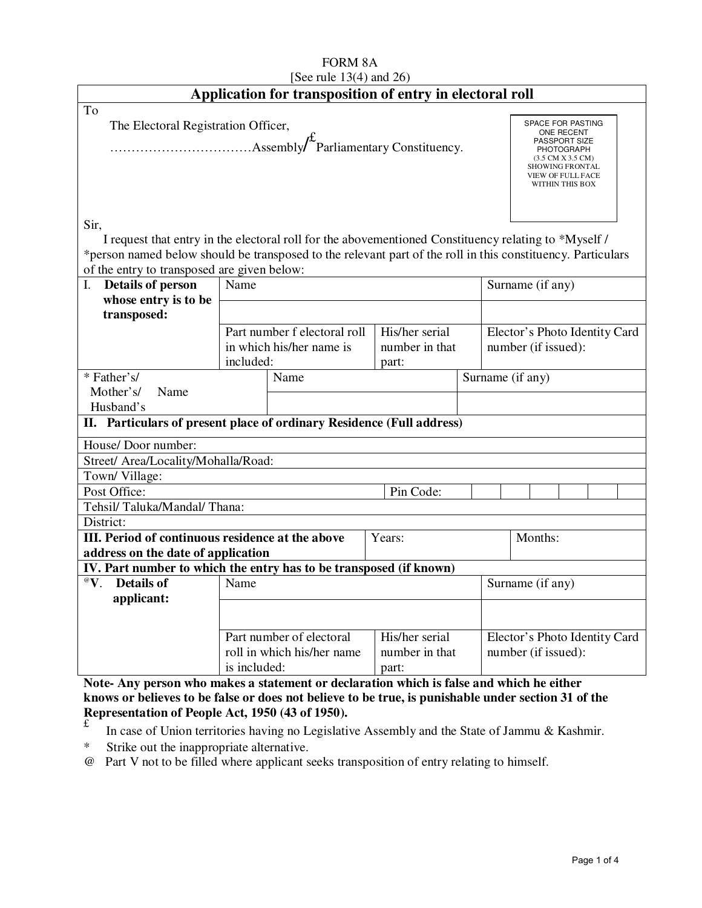| <b>FORM 8A</b><br>[See rule $13(4)$ and $26$ )                                                                                                                                                                              |                          |                                                        |                                           |                                                                |                                        |                                                         |  |  |  |  |
|-----------------------------------------------------------------------------------------------------------------------------------------------------------------------------------------------------------------------------|--------------------------|--------------------------------------------------------|-------------------------------------------|----------------------------------------------------------------|----------------------------------------|---------------------------------------------------------|--|--|--|--|
| Application for transposition of entry in electoral roll                                                                                                                                                                    |                          |                                                        |                                           |                                                                |                                        |                                                         |  |  |  |  |
| To<br>The Electoral Registration Officer,                                                                                                                                                                                   |                          |                                                        |                                           |                                                                |                                        | <b>SPACE FOR PASTING</b><br>ONE RECENT<br>PASSPORT SIZE |  |  |  |  |
|                                                                                                                                                                                                                             |                          |                                                        |                                           | <b>SHOWING FRONTAL</b><br>VIEW OF FULL FACE<br>WITHIN THIS BOX | <b>PHOTOGRAPH</b><br>(3.5 CM X 3.5 CM) |                                                         |  |  |  |  |
| Sir,<br>I request that entry in the electoral roll for the abovementioned Constituency relating to *Myself /<br>*person named below should be transposed to the relevant part of the roll in this constituency. Particulars |                          |                                                        |                                           |                                                                |                                        |                                                         |  |  |  |  |
| of the entry to transposed are given below:                                                                                                                                                                                 |                          |                                                        |                                           |                                                                |                                        |                                                         |  |  |  |  |
| Details of person<br>$\mathbf{I}$ .                                                                                                                                                                                         | Name                     |                                                        |                                           |                                                                |                                        | Surname (if any)                                        |  |  |  |  |
| whose entry is to be                                                                                                                                                                                                        |                          |                                                        |                                           |                                                                |                                        |                                                         |  |  |  |  |
| transposed:                                                                                                                                                                                                                 |                          |                                                        |                                           |                                                                |                                        |                                                         |  |  |  |  |
|                                                                                                                                                                                                                             |                          | Part number f electoral roll                           | His/her serial                            |                                                                | Elector's Photo Identity Card          |                                                         |  |  |  |  |
|                                                                                                                                                                                                                             | included:                | in which his/her name is                               | number in that<br>part:                   |                                                                | number (if issued):                    |                                                         |  |  |  |  |
| * Father's/                                                                                                                                                                                                                 |                          | Name                                                   | Surname (if any)                          |                                                                |                                        |                                                         |  |  |  |  |
| Mother's/<br>Name                                                                                                                                                                                                           |                          |                                                        |                                           |                                                                |                                        |                                                         |  |  |  |  |
| Husband's                                                                                                                                                                                                                   |                          |                                                        |                                           |                                                                |                                        |                                                         |  |  |  |  |
| II. Particulars of present place of ordinary Residence (Full address)                                                                                                                                                       |                          |                                                        |                                           |                                                                |                                        |                                                         |  |  |  |  |
| House/ Door number:                                                                                                                                                                                                         |                          |                                                        |                                           |                                                                |                                        |                                                         |  |  |  |  |
| Street/ Area/Locality/Mohalla/Road:                                                                                                                                                                                         |                          |                                                        |                                           |                                                                |                                        |                                                         |  |  |  |  |
| Town/Village:                                                                                                                                                                                                               |                          |                                                        |                                           |                                                                |                                        |                                                         |  |  |  |  |
| Post Office:                                                                                                                                                                                                                |                          |                                                        | Pin Code:                                 |                                                                |                                        |                                                         |  |  |  |  |
| Tehsil/Taluka/Mandal/Thana:                                                                                                                                                                                                 |                          |                                                        |                                           |                                                                |                                        |                                                         |  |  |  |  |
| District:<br>III. Period of continuous residence at the above<br>Years:<br>Months:                                                                                                                                          |                          |                                                        |                                           |                                                                |                                        |                                                         |  |  |  |  |
| address on the date of application                                                                                                                                                                                          |                          |                                                        |                                           |                                                                |                                        |                                                         |  |  |  |  |
| IV. Part number to which the entry has to be transposed (if known)                                                                                                                                                          |                          |                                                        |                                           |                                                                |                                        |                                                         |  |  |  |  |
| ${}^{\scriptscriptstyle\textcircled{\tiny W}}\mathbf{V}.$<br><b>Details of</b>                                                                                                                                              | Surname (if any)<br>Name |                                                        |                                           |                                                                |                                        |                                                         |  |  |  |  |
| applicant:                                                                                                                                                                                                                  |                          |                                                        |                                           |                                                                |                                        |                                                         |  |  |  |  |
|                                                                                                                                                                                                                             | is included:             | Part number of electoral<br>roll in which his/her name | His/her serial<br>number in that<br>part: |                                                                |                                        | Elector's Photo Identity Card<br>number (if issued):    |  |  |  |  |

**Note- Any person who makes a statement or declaration which is false and which he either knows or believes to be false or does not believe to be true, is punishable under section 31 of the Representation of People Act, 1950 (43 of 1950).** 

- £ In case of Union territories having no Legislative Assembly and the State of Jammu & Kashmir.
- \* Strike out the inappropriate alternative.
- @ Part V not to be filled where applicant seeks transposition of entry relating to himself.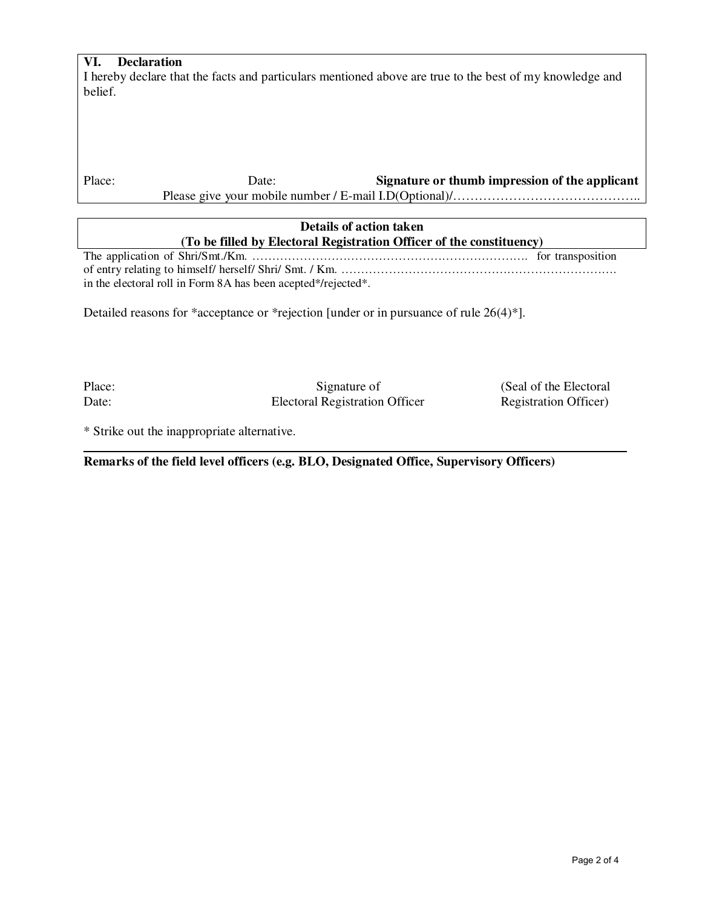# **VI. Declaration**

I hereby declare that the facts and particulars mentioned above are true to the best of my knowledge and belief.

Place: Date: Date: **Signature or thumb impression of the applicant** 

Please give your mobile number / E-mail I.D(Optional)/………………………………………………………………………

| Details of action taken                                              |  |  |  |  |  |
|----------------------------------------------------------------------|--|--|--|--|--|
| (To be filled by Electoral Registration Officer of the constituency) |  |  |  |  |  |
|                                                                      |  |  |  |  |  |
|                                                                      |  |  |  |  |  |
| in the electoral roll in Form 8A has been acepted*/rejected*.        |  |  |  |  |  |

Detailed reasons for \*acceptance or \*rejection [under or in pursuance of rule 26(4)\*].

Place: Signature of (Seal of the Electoral Date: Electoral Registration Officer Registration Officer

\* Strike out the inappropriate alternative.

**Remarks of the field level officers (e.g. BLO, Designated Office, Supervisory Officers)**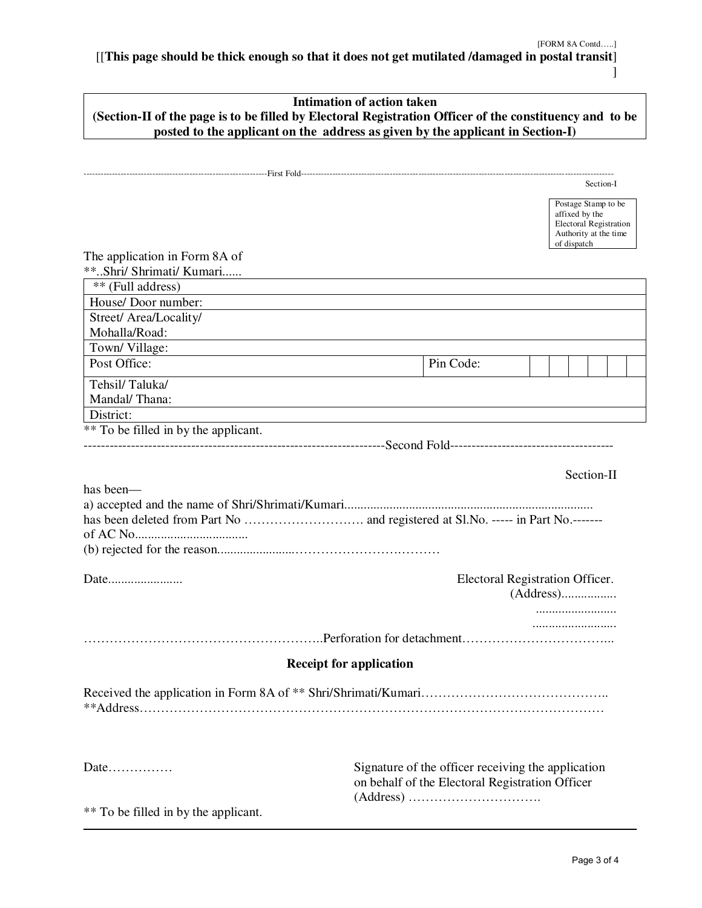[[**This page should be thick enough so that it does not get mutilated /damaged in postal transit**] ]

| <b>Intimation of action taken</b><br>(Section-II of the page is to be filled by Electoral Registration Officer of the constituency and to be |                                                                                                                |  |  |  |  |  |
|----------------------------------------------------------------------------------------------------------------------------------------------|----------------------------------------------------------------------------------------------------------------|--|--|--|--|--|
|                                                                                                                                              | posted to the applicant on the address as given by the applicant in Section-I)                                 |  |  |  |  |  |
|                                                                                                                                              |                                                                                                                |  |  |  |  |  |
|                                                                                                                                              | Section-I                                                                                                      |  |  |  |  |  |
|                                                                                                                                              | Postage Stamp to be<br>affixed by the<br><b>Electoral Registration</b><br>Authority at the time<br>of dispatch |  |  |  |  |  |
| The application in Form 8A of                                                                                                                |                                                                                                                |  |  |  |  |  |
| **Shri/ Shrimati/ Kumari                                                                                                                     |                                                                                                                |  |  |  |  |  |
| ** (Full address)                                                                                                                            |                                                                                                                |  |  |  |  |  |
| House/Door number:                                                                                                                           |                                                                                                                |  |  |  |  |  |
| Street/ Area/Locality/                                                                                                                       |                                                                                                                |  |  |  |  |  |
| Mohalla/Road:<br>Town/Village:                                                                                                               |                                                                                                                |  |  |  |  |  |
| Post Office:                                                                                                                                 | Pin Code:                                                                                                      |  |  |  |  |  |
| Tehsil/Taluka/                                                                                                                               |                                                                                                                |  |  |  |  |  |
| Mandal/Thana:                                                                                                                                |                                                                                                                |  |  |  |  |  |
| District:                                                                                                                                    |                                                                                                                |  |  |  |  |  |
| ** To be filled in by the applicant.                                                                                                         |                                                                                                                |  |  |  |  |  |
|                                                                                                                                              |                                                                                                                |  |  |  |  |  |
|                                                                                                                                              | Section-II                                                                                                     |  |  |  |  |  |
| has been—                                                                                                                                    |                                                                                                                |  |  |  |  |  |
|                                                                                                                                              |                                                                                                                |  |  |  |  |  |
|                                                                                                                                              |                                                                                                                |  |  |  |  |  |
|                                                                                                                                              |                                                                                                                |  |  |  |  |  |
|                                                                                                                                              |                                                                                                                |  |  |  |  |  |
| Date                                                                                                                                         | Electoral Registration Officer.                                                                                |  |  |  |  |  |
|                                                                                                                                              |                                                                                                                |  |  |  |  |  |
|                                                                                                                                              |                                                                                                                |  |  |  |  |  |
|                                                                                                                                              |                                                                                                                |  |  |  |  |  |
|                                                                                                                                              | <b>Receipt for application</b>                                                                                 |  |  |  |  |  |
|                                                                                                                                              |                                                                                                                |  |  |  |  |  |
| Date                                                                                                                                         | Signature of the officer receiving the application<br>on behalf of the Electoral Registration Officer          |  |  |  |  |  |
|                                                                                                                                              |                                                                                                                |  |  |  |  |  |
| ** To be filled in by the applicant.                                                                                                         |                                                                                                                |  |  |  |  |  |